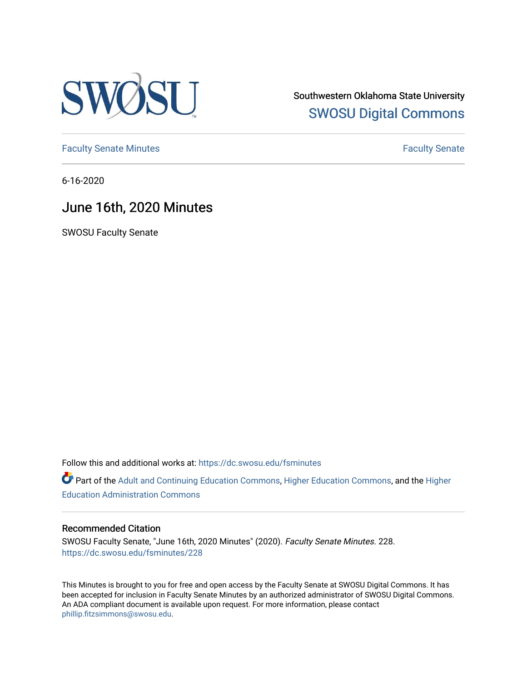

Southwestern Oklahoma State University [SWOSU Digital Commons](https://dc.swosu.edu/) 

[Faculty Senate Minutes](https://dc.swosu.edu/fsminutes) **Faculty** Senate Minutes

6-16-2020

## June 16th, 2020 Minutes

SWOSU Faculty Senate

Follow this and additional works at: [https://dc.swosu.edu/fsminutes](https://dc.swosu.edu/fsminutes?utm_source=dc.swosu.edu%2Ffsminutes%2F228&utm_medium=PDF&utm_campaign=PDFCoverPages) 

Part of the [Adult and Continuing Education Commons,](http://network.bepress.com/hgg/discipline/1375?utm_source=dc.swosu.edu%2Ffsminutes%2F228&utm_medium=PDF&utm_campaign=PDFCoverPages) [Higher Education Commons,](http://network.bepress.com/hgg/discipline/1245?utm_source=dc.swosu.edu%2Ffsminutes%2F228&utm_medium=PDF&utm_campaign=PDFCoverPages) and the [Higher](http://network.bepress.com/hgg/discipline/791?utm_source=dc.swosu.edu%2Ffsminutes%2F228&utm_medium=PDF&utm_campaign=PDFCoverPages) [Education Administration Commons](http://network.bepress.com/hgg/discipline/791?utm_source=dc.swosu.edu%2Ffsminutes%2F228&utm_medium=PDF&utm_campaign=PDFCoverPages) 

#### Recommended Citation

SWOSU Faculty Senate, "June 16th, 2020 Minutes" (2020). Faculty Senate Minutes. 228. [https://dc.swosu.edu/fsminutes/228](https://dc.swosu.edu/fsminutes/228?utm_source=dc.swosu.edu%2Ffsminutes%2F228&utm_medium=PDF&utm_campaign=PDFCoverPages) 

This Minutes is brought to you for free and open access by the Faculty Senate at SWOSU Digital Commons. It has been accepted for inclusion in Faculty Senate Minutes by an authorized administrator of SWOSU Digital Commons. An ADA compliant document is available upon request. For more information, please contact [phillip.fitzsimmons@swosu.edu](mailto:phillip.fitzsimmons@swosu.edu).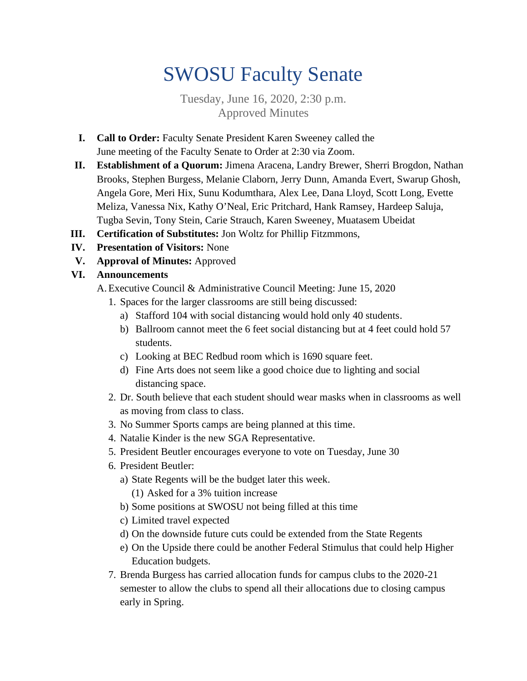# SWOSU Faculty Senate

Tuesday, June 16, 2020, 2:30 p.m. Approved Minutes

- **I. Call to Order:** Faculty Senate President Karen Sweeney called the June meeting of the Faculty Senate to Order at 2:30 via Zoom.
- **II. Establishment of a Quorum:** Jimena Aracena, Landry Brewer, Sherri Brogdon, Nathan Brooks, Stephen Burgess, Melanie Claborn, Jerry Dunn, Amanda Evert, Swarup Ghosh, Angela Gore, Meri Hix, Sunu Kodumthara, Alex Lee, Dana Lloyd, Scott Long, Evette Meliza, Vanessa Nix, Kathy O'Neal, Eric Pritchard, Hank Ramsey, Hardeep Saluja, Tugba Sevin, Tony Stein, Carie Strauch, Karen Sweeney, Muatasem Ubeidat
- **III. Certification of Substitutes:** Jon Woltz for Phillip Fitzmmons,
- **IV. Presentation of Visitors:** None
- **V. Approval of Minutes:** Approved
- **VI. Announcements**
	- A.Executive Council & Administrative Council Meeting: June 15, 2020
		- 1. Spaces for the larger classrooms are still being discussed:
			- a) Stafford 104 with social distancing would hold only 40 students.
			- b) Ballroom cannot meet the 6 feet social distancing but at 4 feet could hold 57 students.
			- c) Looking at BEC Redbud room which is 1690 square feet.
			- d) Fine Arts does not seem like a good choice due to lighting and social distancing space.
		- 2. Dr. South believe that each student should wear masks when in classrooms as well as moving from class to class.
		- 3. No Summer Sports camps are being planned at this time.
		- 4. Natalie Kinder is the new SGA Representative.
		- 5. President Beutler encourages everyone to vote on Tuesday, June 30
		- 6. President Beutler:
			- a) State Regents will be the budget later this week.
				- (1) Asked for a 3% tuition increase
			- b) Some positions at SWOSU not being filled at this time
			- c) Limited travel expected
			- d) On the downside future cuts could be extended from the State Regents
			- e) On the Upside there could be another Federal Stimulus that could help Higher Education budgets.
		- 7. Brenda Burgess has carried allocation funds for campus clubs to the 2020-21 semester to allow the clubs to spend all their allocations due to closing campus early in Spring.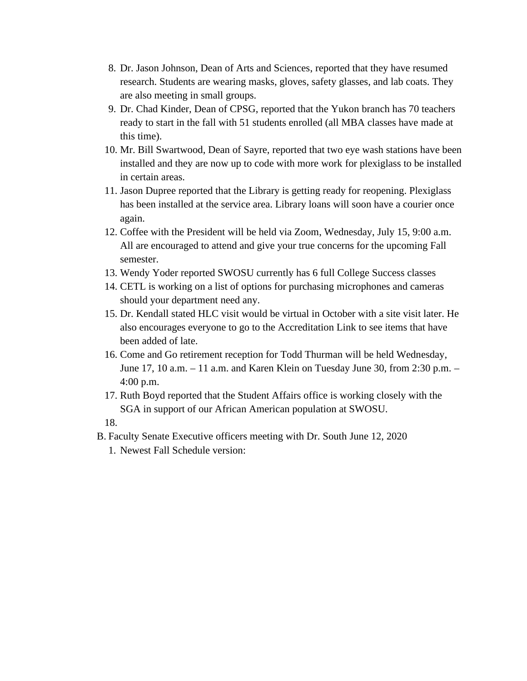- 8. Dr. Jason Johnson, Dean of Arts and Sciences, reported that they have resumed research. Students are wearing masks, gloves, safety glasses, and lab coats. They are also meeting in small groups.
- 9. Dr. Chad Kinder, Dean of CPSG, reported that the Yukon branch has 70 teachers ready to start in the fall with 51 students enrolled (all MBA classes have made at this time).
- 10. Mr. Bill Swartwood, Dean of Sayre, reported that two eye wash stations have been installed and they are now up to code with more work for plexiglass to be installed in certain areas.
- 11. Jason Dupree reported that the Library is getting ready for reopening. Plexiglass has been installed at the service area. Library loans will soon have a courier once again.
- 12. Coffee with the President will be held via Zoom, Wednesday, July 15, 9:00 a.m. All are encouraged to attend and give your true concerns for the upcoming Fall semester.
- 13. Wendy Yoder reported SWOSU currently has 6 full College Success classes
- 14. CETL is working on a list of options for purchasing microphones and cameras should your department need any.
- 15. Dr. Kendall stated HLC visit would be virtual in October with a site visit later. He also encourages everyone to go to the Accreditation Link to see items that have been added of late.
- 16. Come and Go retirement reception for Todd Thurman will be held Wednesday, June 17, 10 a.m. – 11 a.m. and Karen Klein on Tuesday June 30, from 2:30 p.m. – 4:00 p.m.
- 17. Ruth Boyd reported that the Student Affairs office is working closely with the SGA in support of our African American population at SWOSU.

18.

- B. Faculty Senate Executive officers meeting with Dr. South June 12, 2020
	- 1. Newest Fall Schedule version: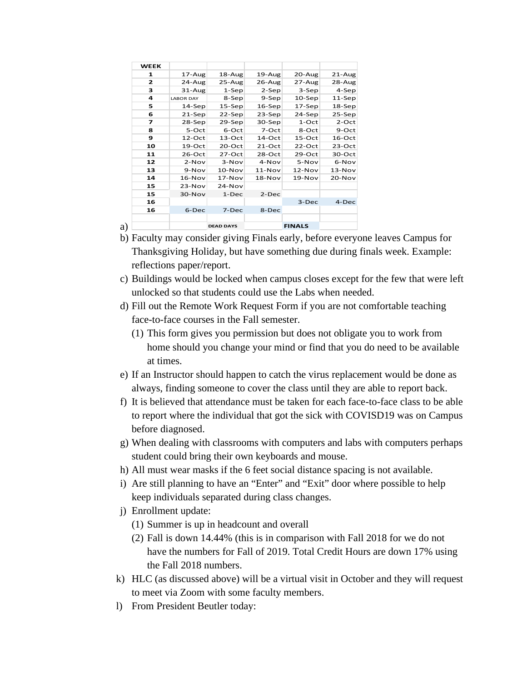| <b>WEEK</b> |                  |            |               |            |            |
|-------------|------------------|------------|---------------|------------|------------|
| 1           | $17 - Aug$       | $18 - Aug$ | 19-Aug        | 20-Aug     | $21 - Aug$ |
| 2           | 24-Aug           | $25 - Aug$ | 26-Aug        | $27 - Aug$ | 28-Aug     |
| 3           | $31 - Aug$       | $1-Sep$    | $2-Sep$       | 3-Sep      | 4-Sep      |
| 4           | <b>LABOR DAY</b> | 8-Sep      | 9-Sep         | $10-$ Sep  | $11-Sep$   |
| 5           | $14-$ Sep        | $15-$ Sep  | $16-$ Sep     | $17-$ Sep  | $18-$ Sep  |
| 6           | $21-$ Sep        | 22-Sep     | $23-$ Sep     | 24-Sep     | 25-Sep     |
| 7           | $28-$ Sep        | 29-Sep     | $30-$ Sep     | 1-Oct      | $2$ -Oct   |
| 8           | 5-Oct            | 6-Oct      | 7-Oct         | 8-Oct      | 9-Oct      |
| 9           | 12-Oct           | 13-Oct     | 14-Oct        | 15-Oct     | 16-Oct     |
| 10          | $19-Oct$         | $20$ -Oct  | $21-Oct$      | $22$ -Oct  | 23-Oct     |
| 11          | 26-Oct           | 27-Oct     | $28-Oct$      | 29-Oct     | 30-Oct     |
| 12          | $2-Nov$          | $3-Nov$    | 4-Nov         | 5-Nov      | 6-Nov      |
| 13          | 9-Nov            | $10-Nov$   | $11-Nov$      | $12-Nov$   | $13-Nov$   |
| 14          | $16-Nov$         | $17-Nov$   | $18-Nov$      | $19-Nov$   | 20-Nov     |
| 15          | $23-Nov$         | $24-Nov$   |               |            |            |
| 15          | $30-Nov$         | $1-Dec$    | $2-Dec$       |            |            |
| 16          |                  |            |               | 3-Dec      | 4-Dec      |
| 16          | 6-Dec            | 7-Dec      | 8-Dec         |            |            |
|             |                  |            |               |            |            |
| a)          | <b>DEAD DAYS</b> |            | <b>FINALS</b> |            |            |

- b) Faculty may consider giving Finals early, before everyone leaves Campus for Thanksgiving Holiday, but have something due during finals week. Example: reflections paper/report.
- c) Buildings would be locked when campus closes except for the few that were left unlocked so that students could use the Labs when needed.
- d) Fill out the Remote Work Request Form if you are not comfortable teaching face-to-face courses in the Fall semester.
	- (1) This form gives you permission but does not obligate you to work from home should you change your mind or find that you do need to be available at times.
- e) If an Instructor should happen to catch the virus replacement would be done as always, finding someone to cover the class until they are able to report back.
- f) It is believed that attendance must be taken for each face-to-face class to be able to report where the individual that got the sick with COVISD19 was on Campus before diagnosed.
- g) When dealing with classrooms with computers and labs with computers perhaps student could bring their own keyboards and mouse.
- h) All must wear masks if the 6 feet social distance spacing is not available.
- i) Are still planning to have an "Enter" and "Exit" door where possible to help keep individuals separated during class changes.
- j) Enrollment update:
	- (1) Summer is up in headcount and overall
	- (2) Fall is down 14.44% (this is in comparison with Fall 2018 for we do not have the numbers for Fall of 2019. Total Credit Hours are down 17% using the Fall 2018 numbers.
- k) HLC (as discussed above) will be a virtual visit in October and they will request to meet via Zoom with some faculty members.
- l) From President Beutler today: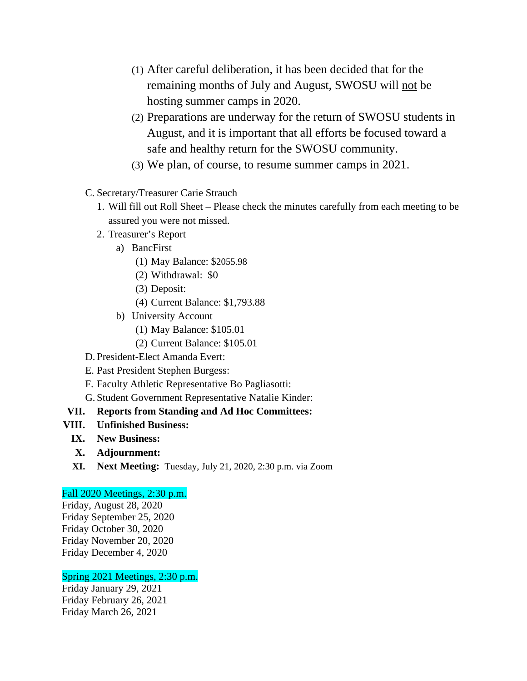- (1) After careful deliberation, it has been decided that for the remaining months of July and August, SWOSU will not be hosting summer camps in 2020.
- (2) Preparations are underway for the return of SWOSU students in August, and it is important that all efforts be focused toward a safe and healthy return for the SWOSU community.
- (3) We plan, of course, to resume summer camps in 2021.
- C. Secretary/Treasurer Carie Strauch
	- 1. Will fill out Roll Sheet Please check the minutes carefully from each meeting to be assured you were not missed.
	- 2. Treasurer's Report
		- a) BancFirst
			- (1) May Balance: \$2055.98
			- (2) Withdrawal: \$0
			- (3) Deposit:
			- (4) Current Balance: \$1,793.88
		- b) University Account
			- (1) May Balance: \$105.01
			- (2) Current Balance: \$105.01
- D. President-Elect Amanda Evert:
- E. Past President Stephen Burgess:
- F. Faculty Athletic Representative Bo Pagliasotti:
- G. Student Government Representative Natalie Kinder:
- **VII. Reports from Standing and Ad Hoc Committees:**
- **VIII. Unfinished Business:**
	- **IX. New Business:**
	- **X. Adjournment:**
	- **XI. Next Meeting:** Tuesday, July 21, 2020, 2:30 p.m. via Zoom

### Fall 2020 Meetings, 2:30 p.m.

Friday, August 28, 2020 Friday September 25, 2020 Friday October 30, 2020 Friday November 20, 2020 Friday December 4, 2020

### Spring 2021 Meetings, 2:30 p.m.

Friday January 29, 2021 Friday February 26, 2021 Friday March 26, 2021